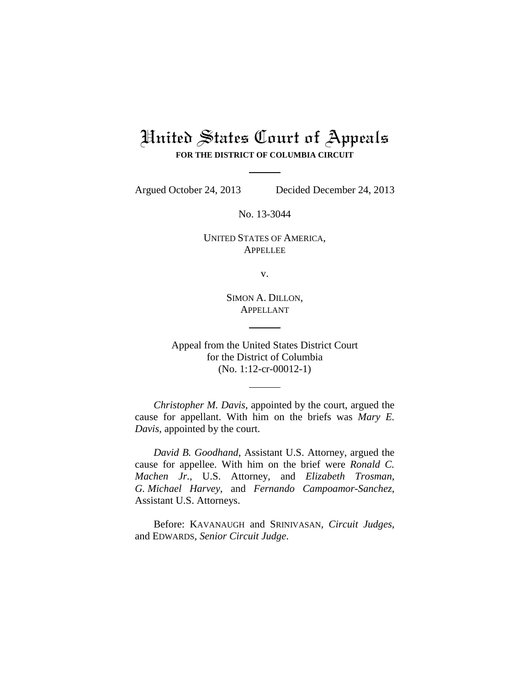# United States Court of Appeals **FOR THE DISTRICT OF COLUMBIA CIRCUIT**

Argued October 24, 2013 Decided December 24, 2013

No. 13-3044

UNITED STATES OF AMERICA, **APPELLEE** 

v.

SIMON A. DILLON, APPELLANT

Appeal from the United States District Court for the District of Columbia (No. 1:12-cr-00012-1)

*Christopher M. Davis*, appointed by the court, argued the cause for appellant. With him on the briefs was *Mary E. Davis*, appointed by the court.

*David B. Goodhand*, Assistant U.S. Attorney, argued the cause for appellee. With him on the brief were *Ronald C. Machen Jr.*, U.S. Attorney, and *Elizabeth Trosman*, *G. Michael Harvey*, and *Fernando Campoamor-Sanchez*, Assistant U.S. Attorneys.

Before: KAVANAUGH and SRINIVASAN, *Circuit Judges*, and EDWARDS, *Senior Circuit Judge*.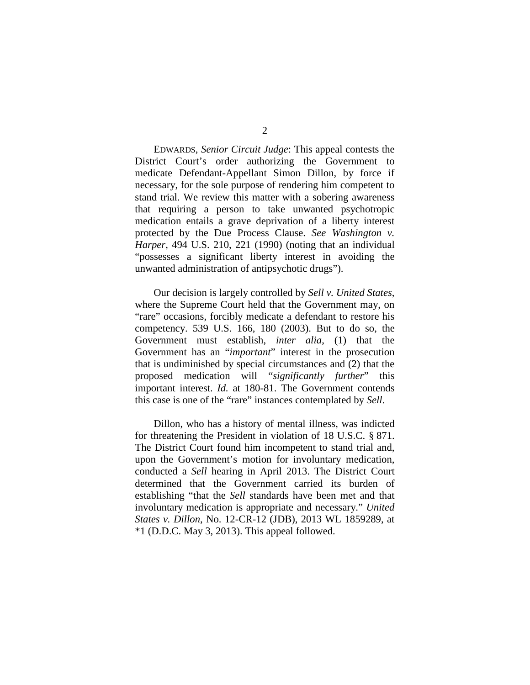EDWARDS, *Senior Circuit Judge*: This appeal contests the District Court's order authorizing the Government to medicate Defendant-Appellant Simon Dillon, by force if necessary, for the sole purpose of rendering him competent to stand trial. We review this matter with a sobering awareness that requiring a person to take unwanted psychotropic medication entails a grave deprivation of a liberty interest protected by the Due Process Clause. *See Washington v. Harper*, 494 U.S. 210, 221 (1990) (noting that an individual "possesses a significant liberty interest in avoiding the unwanted administration of antipsychotic drugs").

Our decision is largely controlled by *Sell v. United States*, where the Supreme Court held that the Government may, on "rare" occasions, forcibly medicate a defendant to restore his competency. 539 U.S. 166, 180 (2003). But to do so, the Government must establish, *inter alia*, (1) that the Government has an "*important*" interest in the prosecution that is undiminished by special circumstances and (2) that the proposed medication will "*significantly further*" this important interest. *Id.* at 180-81. The Government contends this case is one of the "rare" instances contemplated by *Sell*.

Dillon, who has a history of mental illness, was indicted for threatening the President in violation of 18 U.S.C. § 871. The District Court found him incompetent to stand trial and, upon the Government's motion for involuntary medication, conducted a *Sell* hearing in April 2013. The District Court determined that the Government carried its burden of establishing "that the *Sell* standards have been met and that involuntary medication is appropriate and necessary." *United States v. Dillon*, No. 12-CR-12 (JDB), 2013 WL 1859289, at \*1 (D.D.C. May 3, 2013). This appeal followed.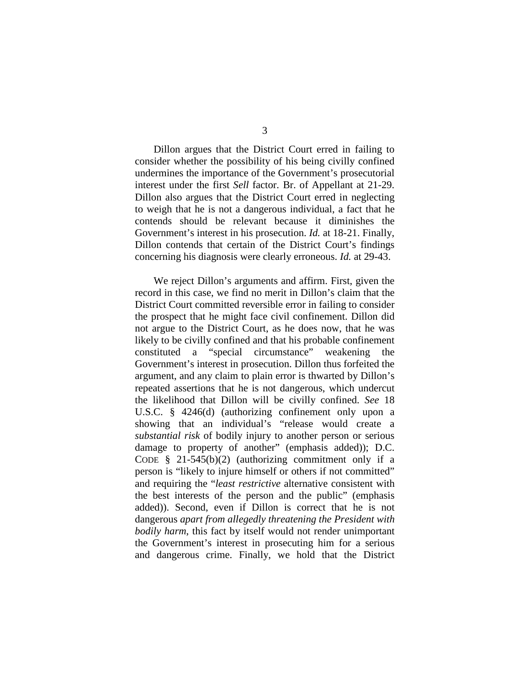Dillon argues that the District Court erred in failing to consider whether the possibility of his being civilly confined undermines the importance of the Government's prosecutorial interest under the first *Sell* factor. Br. of Appellant at 21-29. Dillon also argues that the District Court erred in neglecting to weigh that he is not a dangerous individual, a fact that he contends should be relevant because it diminishes the Government's interest in his prosecution. *Id.* at 18-21. Finally, Dillon contends that certain of the District Court's findings concerning his diagnosis were clearly erroneous. *Id.* at 29-43.

We reject Dillon's arguments and affirm. First, given the record in this case, we find no merit in Dillon's claim that the District Court committed reversible error in failing to consider the prospect that he might face civil confinement. Dillon did not argue to the District Court, as he does now, that he was likely to be civilly confined and that his probable confinement constituted a "special circumstance" weakening the Government's interest in prosecution. Dillon thus forfeited the argument, and any claim to plain error is thwarted by Dillon's repeated assertions that he is not dangerous, which undercut the likelihood that Dillon will be civilly confined. *See* 18 U.S.C. § 4246(d) (authorizing confinement only upon a showing that an individual's "release would create a *substantial risk* of bodily injury to another person or serious damage to property of another" (emphasis added)); D.C. CODE  $\frac{8}{3}$  21-545(b)(2) (authorizing commitment only if a person is "likely to injure himself or others if not committed" and requiring the "*least restrictive* alternative consistent with the best interests of the person and the public" (emphasis added)). Second, even if Dillon is correct that he is not dangerous *apart from allegedly threatening the President with bodily harm*, this fact by itself would not render unimportant the Government's interest in prosecuting him for a serious and dangerous crime. Finally, we hold that the District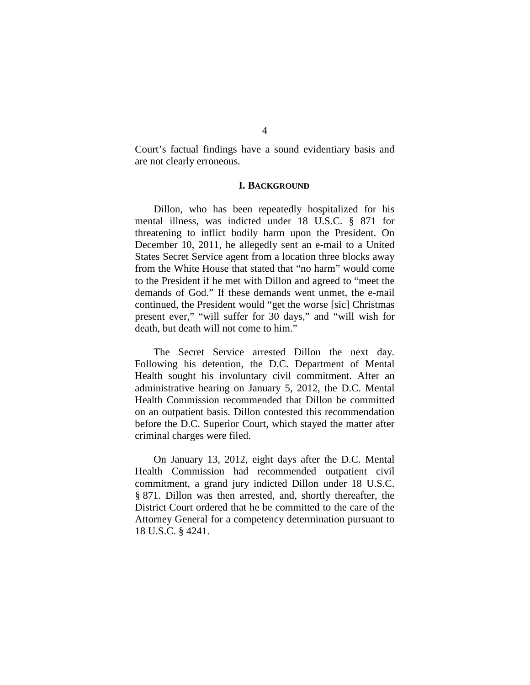Court's factual findings have a sound evidentiary basis and are not clearly erroneous.

## **I. BACKGROUND**

Dillon, who has been repeatedly hospitalized for his mental illness, was indicted under 18 U.S.C. § 871 for threatening to inflict bodily harm upon the President. On December 10, 2011, he allegedly sent an e-mail to a United States Secret Service agent from a location three blocks away from the White House that stated that "no harm" would come to the President if he met with Dillon and agreed to "meet the demands of God." If these demands went unmet, the e-mail continued, the President would "get the worse [sic] Christmas present ever," "will suffer for 30 days," and "will wish for death, but death will not come to him."

The Secret Service arrested Dillon the next day. Following his detention, the D.C. Department of Mental Health sought his involuntary civil commitment. After an administrative hearing on January 5, 2012, the D.C. Mental Health Commission recommended that Dillon be committed on an outpatient basis. Dillon contested this recommendation before the D.C. Superior Court, which stayed the matter after criminal charges were filed.

On January 13, 2012, eight days after the D.C. Mental Health Commission had recommended outpatient civil commitment, a grand jury indicted Dillon under 18 U.S.C. § 871. Dillon was then arrested, and, shortly thereafter, the District Court ordered that he be committed to the care of the Attorney General for a competency determination pursuant to 18 U.S.C. § 4241.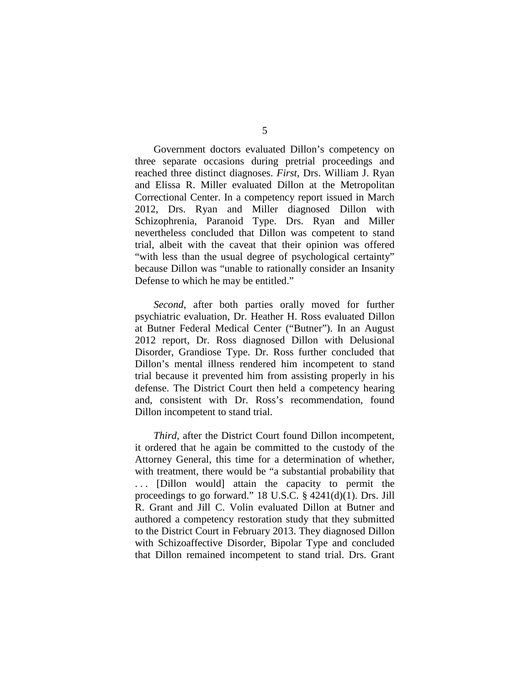Government doctors evaluated Dillon's competency on three separate occasions during pretrial proceedings and reached three distinct diagnoses. *First*, Drs. William J. Ryan and Elissa R. Miller evaluated Dillon at the Metropolitan Correctional Center. In a competency report issued in March 2012, Drs. Ryan and Miller diagnosed Dillon with Schizophrenia, Paranoid Type. Drs. Ryan and Miller nevertheless concluded that Dillon was competent to stand trial, albeit with the caveat that their opinion was offered "with less than the usual degree of psychological certainty" because Dillon was "unable to rationally consider an Insanity Defense to which he may be entitled."

*Second*, after both parties orally moved for further psychiatric evaluation, Dr. Heather H. Ross evaluated Dillon at Butner Federal Medical Center ("Butner"). In an August 2012 report, Dr. Ross diagnosed Dillon with Delusional Disorder, Grandiose Type. Dr. Ross further concluded that Dillon's mental illness rendered him incompetent to stand trial because it prevented him from assisting properly in his defense. The District Court then held a competency hearing and, consistent with Dr. Ross's recommendation, found Dillon incompetent to stand trial.

*Third*, after the District Court found Dillon incompetent, it ordered that he again be committed to the custody of the Attorney General, this time for a determination of whether, with treatment, there would be "a substantial probability that . . . [Dillon would] attain the capacity to permit the proceedings to go forward." 18 U.S.C. § 4241(d)(1). Drs. Jill R. Grant and Jill C. Volin evaluated Dillon at Butner and authored a competency restoration study that they submitted to the District Court in February 2013. They diagnosed Dillon with Schizoaffective Disorder, Bipolar Type and concluded that Dillon remained incompetent to stand trial. Drs. Grant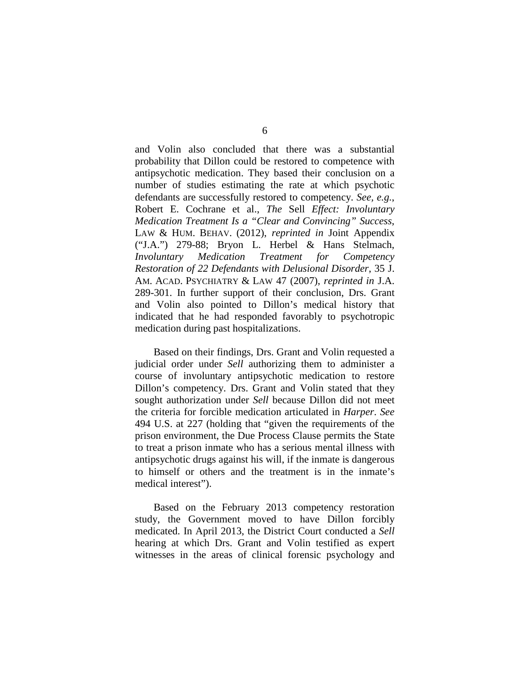and Volin also concluded that there was a substantial probability that Dillon could be restored to competence with antipsychotic medication. They based their conclusion on a number of studies estimating the rate at which psychotic defendants are successfully restored to competency. *See, e.g.*, Robert E. Cochrane et al., *The* Sell *Effect: Involuntary Medication Treatment Is a "Clear and Convincing" Success*, LAW & HUM. BEHAV. (2012), *reprinted in* Joint Appendix ("J.A.") 279-88; Bryon L. Herbel & Hans Stelmach, *Involuntary Medication Treatment for Competency Restoration of 22 Defendants with Delusional Disorder*, 35 J. AM. ACAD. PSYCHIATRY & LAW 47 (2007), *reprinted in* J.A. 289-301. In further support of their conclusion, Drs. Grant and Volin also pointed to Dillon's medical history that indicated that he had responded favorably to psychotropic medication during past hospitalizations.

Based on their findings, Drs. Grant and Volin requested a judicial order under *Sell* authorizing them to administer a course of involuntary antipsychotic medication to restore Dillon's competency. Drs. Grant and Volin stated that they sought authorization under *Sell* because Dillon did not meet the criteria for forcible medication articulated in *Harper*. *See* 494 U.S. at 227 (holding that "given the requirements of the prison environment, the Due Process Clause permits the State to treat a prison inmate who has a serious mental illness with antipsychotic drugs against his will, if the inmate is dangerous to himself or others and the treatment is in the inmate's medical interest").

Based on the February 2013 competency restoration study, the Government moved to have Dillon forcibly medicated. In April 2013, the District Court conducted a *Sell* hearing at which Drs. Grant and Volin testified as expert witnesses in the areas of clinical forensic psychology and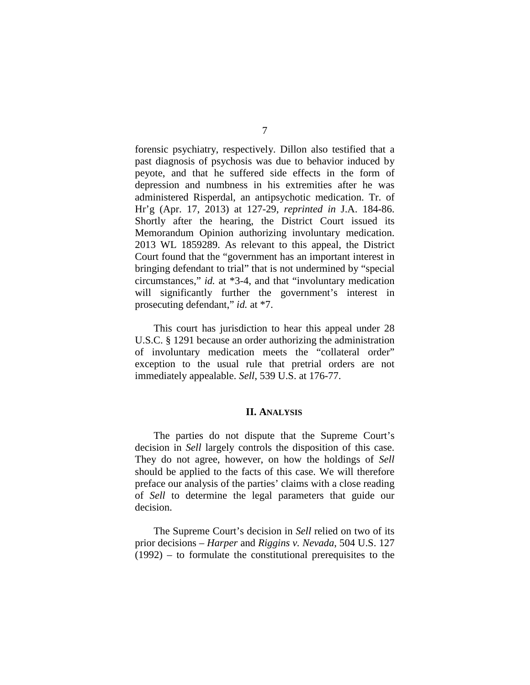forensic psychiatry, respectively. Dillon also testified that a past diagnosis of psychosis was due to behavior induced by peyote, and that he suffered side effects in the form of depression and numbness in his extremities after he was administered Risperdal, an antipsychotic medication. Tr. of Hr'g (Apr. 17, 2013) at 127-29, *reprinted in* J.A. 184-86. Shortly after the hearing, the District Court issued its Memorandum Opinion authorizing involuntary medication. 2013 WL 1859289. As relevant to this appeal, the District Court found that the "government has an important interest in bringing defendant to trial" that is not undermined by "special circumstances," *id.* at \*3-4, and that "involuntary medication will significantly further the government's interest in prosecuting defendant," *id.* at \*7.

This court has jurisdiction to hear this appeal under 28 U.S.C. § 1291 because an order authorizing the administration of involuntary medication meets the "collateral order" exception to the usual rule that pretrial orders are not immediately appealable. *Sell*, 539 U.S. at 176-77.

#### **II. ANALYSIS**

The parties do not dispute that the Supreme Court's decision in *Sell* largely controls the disposition of this case. They do not agree, however, on how the holdings of *Sell* should be applied to the facts of this case. We will therefore preface our analysis of the parties' claims with a close reading of *Sell* to determine the legal parameters that guide our decision.

The Supreme Court's decision in *Sell* relied on two of its prior decisions – *Harper* and *Riggins v. Nevada*, 504 U.S. 127 (1992) – to formulate the constitutional prerequisites to the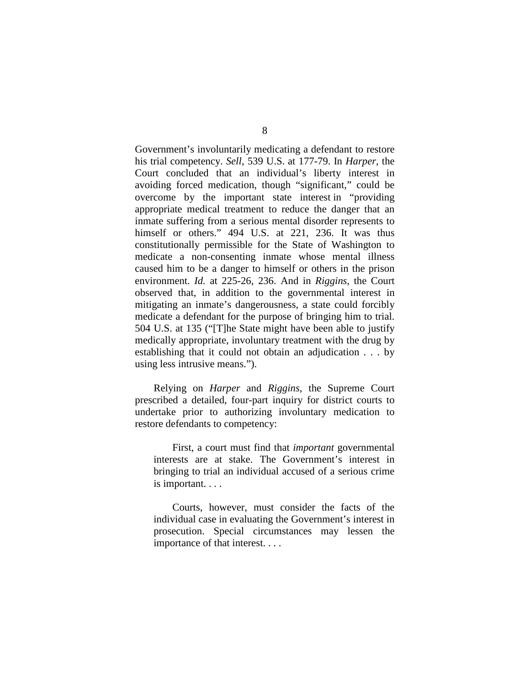Government's involuntarily medicating a defendant to restore his trial competency. *Sell*, 539 U.S. at 177-79. In *Harper*, the Court concluded that an individual's liberty interest in avoiding forced medication, though "significant," could be overcome by the important state interest in "providing appropriate medical treatment to reduce the danger that an inmate suffering from a serious mental disorder represents to himself or others." 494 U.S. at 221, 236. It was thus constitutionally permissible for the State of Washington to medicate a non-consenting inmate whose mental illness caused him to be a danger to himself or others in the prison environment. *Id.* at 225-26, 236. And in *Riggins*, the Court observed that, in addition to the governmental interest in mitigating an inmate's dangerousness, a state could forcibly medicate a defendant for the purpose of bringing him to trial. 504 U.S. at 135 ("[T]he State might have been able to justify medically appropriate, involuntary treatment with the drug by establishing that it could not obtain an adjudication . . . by using less intrusive means.").

Relying on *Harper* and *Riggins*, the Supreme Court prescribed a detailed, four-part inquiry for district courts to undertake prior to authorizing involuntary medication to restore defendants to competency:

First, a court must find that *important* governmental interests are at stake. The Government's interest in bringing to trial an individual accused of a serious crime is important. . . .

Courts, however, must consider the facts of the individual case in evaluating the Government's interest in prosecution. Special circumstances may lessen the importance of that interest. . . .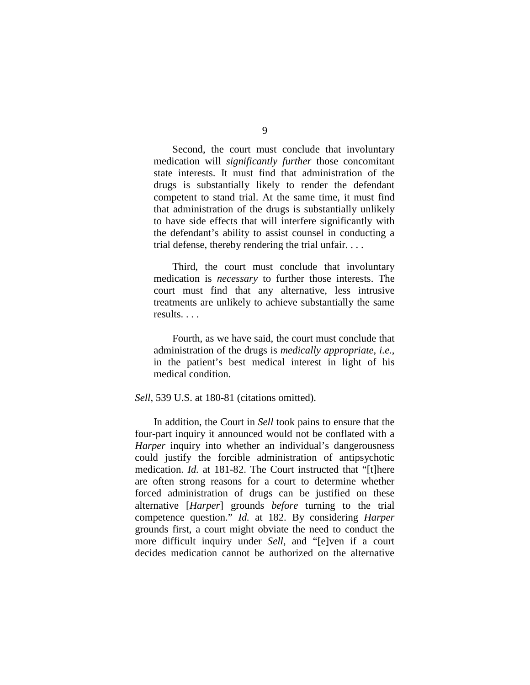Second, the court must conclude that involuntary medication will *significantly further* those concomitant state interests. It must find that administration of the drugs is substantially likely to render the defendant competent to stand trial. At the same time, it must find that administration of the drugs is substantially unlikely to have side effects that will interfere significantly with the defendant's ability to assist counsel in conducting a trial defense, thereby rendering the trial unfair. . . .

Third, the court must conclude that involuntary medication is *necessary* to further those interests. The court must find that any alternative, less intrusive treatments are unlikely to achieve substantially the same results. . . .

Fourth, as we have said, the court must conclude that administration of the drugs is *medically appropriate*, *i.e.*, in the patient's best medical interest in light of his medical condition.

#### *Sell*, 539 U.S. at 180-81 (citations omitted).

In addition, the Court in *Sell* took pains to ensure that the four-part inquiry it announced would not be conflated with a *Harper* inquiry into whether an individual's dangerousness could justify the forcible administration of antipsychotic medication. *Id.* at 181-82. The Court instructed that "[t]here are often strong reasons for a court to determine whether forced administration of drugs can be justified on these alternative [*Harper*] grounds *before* turning to the trial competence question." *Id.* at 182. By considering *Harper* grounds first, a court might obviate the need to conduct the more difficult inquiry under *Sell*, and "[e]ven if a court decides medication cannot be authorized on the alternative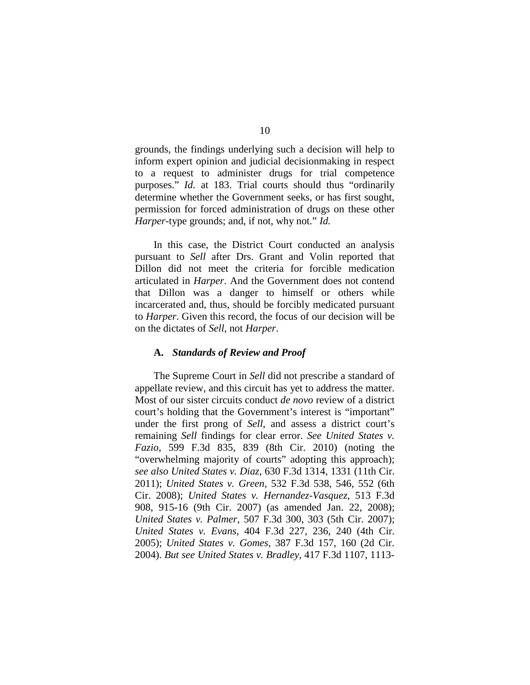grounds, the findings underlying such a decision will help to inform expert opinion and judicial decisionmaking in respect to a request to administer drugs for trial competence purposes." *Id.* at 183. Trial courts should thus "ordinarily determine whether the Government seeks, or has first sought, permission for forced administration of drugs on these other *Harper*-type grounds; and, if not, why not." *Id.*

In this case, the District Court conducted an analysis pursuant to *Sell* after Drs. Grant and Volin reported that Dillon did not meet the criteria for forcible medication articulated in *Harper*. And the Government does not contend that Dillon was a danger to himself or others while incarcerated and, thus, should be forcibly medicated pursuant to *Harper*. Given this record, the focus of our decision will be on the dictates of *Sell*, not *Harper*.

## **A.** *Standards of Review and Proof*

The Supreme Court in *Sell* did not prescribe a standard of appellate review, and this circuit has yet to address the matter. Most of our sister circuits conduct *de novo* review of a district court's holding that the Government's interest is "important" under the first prong of *Sell*, and assess a district court's remaining *Sell* findings for clear error. *See United States v. Fazio*, 599 F.3d 835, 839 (8th Cir. 2010) (noting the "overwhelming majority of courts" adopting this approach); *see also United States v. Diaz*, 630 F.3d 1314, 1331 (11th Cir. 2011); *United States v. Green*, 532 F.3d 538, 546, 552 (6th Cir. 2008); *United States v. Hernandez-Vasquez*, 513 F.3d 908, 915-16 (9th Cir. 2007) (as amended Jan. 22, 2008); *United States v. Palmer*, 507 F.3d 300, 303 (5th Cir. 2007); *United States v. Evans*, 404 F.3d 227, 236, 240 (4th Cir. 2005); *United States v. Gomes*, 387 F.3d 157, 160 (2d Cir. 2004). *But see United States v. Bradley*, 417 F.3d 1107, 1113-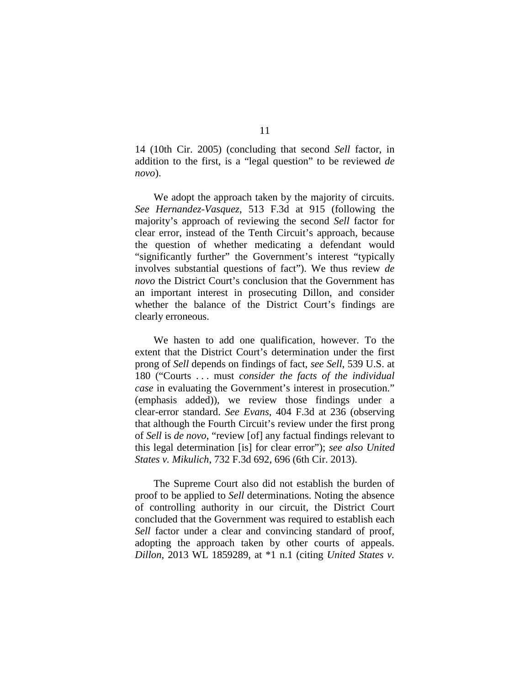14 (10th Cir. 2005) (concluding that second *Sell* factor, in addition to the first, is a "legal question" to be reviewed *de novo*).

We adopt the approach taken by the majority of circuits. *See Hernandez-Vasquez*, 513 F.3d at 915 (following the majority's approach of reviewing the second *Sell* factor for clear error, instead of the Tenth Circuit's approach, because the question of whether medicating a defendant would "significantly further" the Government's interest "typically involves substantial questions of fact"). We thus review *de novo* the District Court's conclusion that the Government has an important interest in prosecuting Dillon, and consider whether the balance of the District Court's findings are clearly erroneous.

We hasten to add one qualification, however. To the extent that the District Court's determination under the first prong of *Sell* depends on findings of fact, *see Sell*, 539 U.S. at 180 ("Courts . . . must *consider the facts of the individual case* in evaluating the Government's interest in prosecution." (emphasis added)), we review those findings under a clear-error standard. *See Evans*, 404 F.3d at 236 (observing that although the Fourth Circuit's review under the first prong of *Sell* is *de novo*, "review [of] any factual findings relevant to this legal determination [is] for clear error"); *see also United States v. Mikulich*, 732 F.3d 692, 696 (6th Cir. 2013).

The Supreme Court also did not establish the burden of proof to be applied to *Sell* determinations. Noting the absence of controlling authority in our circuit, the District Court concluded that the Government was required to establish each *Sell* factor under a clear and convincing standard of proof, adopting the approach taken by other courts of appeals. *Dillon*, 2013 WL 1859289, at \*1 n.1 (citing *United States v.*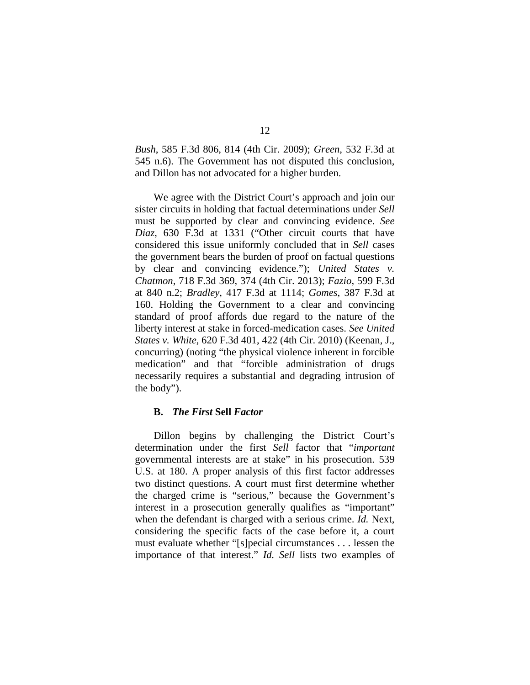*Bush*, 585 F.3d 806, 814 (4th Cir. 2009); *Green*, 532 F.3d at 545 n.6). The Government has not disputed this conclusion, and Dillon has not advocated for a higher burden.

We agree with the District Court's approach and join our sister circuits in holding that factual determinations under *Sell*  must be supported by clear and convincing evidence. *See Diaz*, 630 F.3d at 1331 ("Other circuit courts that have considered this issue uniformly concluded that in *Sell* cases the government bears the burden of proof on factual questions by clear and convincing evidence."); *United States v. Chatmon*, 718 F.3d 369, 374 (4th Cir. 2013); *Fazio*, 599 F.3d at 840 n.2; *Bradley*, 417 F.3d at 1114; *Gomes*, 387 F.3d at 160. Holding the Government to a clear and convincing standard of proof affords due regard to the nature of the liberty interest at stake in forced-medication cases. *See United States v. White*, 620 F.3d 401, 422 (4th Cir. 2010) (Keenan, J., concurring) (noting "the physical violence inherent in forcible medication" and that "forcible administration of drugs necessarily requires a substantial and degrading intrusion of the body").

## **B.** *The First* **Sell** *Factor*

Dillon begins by challenging the District Court's determination under the first *Sell* factor that "*important* governmental interests are at stake" in his prosecution. 539 U.S. at 180. A proper analysis of this first factor addresses two distinct questions. A court must first determine whether the charged crime is "serious," because the Government's interest in a prosecution generally qualifies as "important" when the defendant is charged with a serious crime. *Id.* Next, considering the specific facts of the case before it, a court must evaluate whether "[s]pecial circumstances . . . lessen the importance of that interest." *Id. Sell* lists two examples of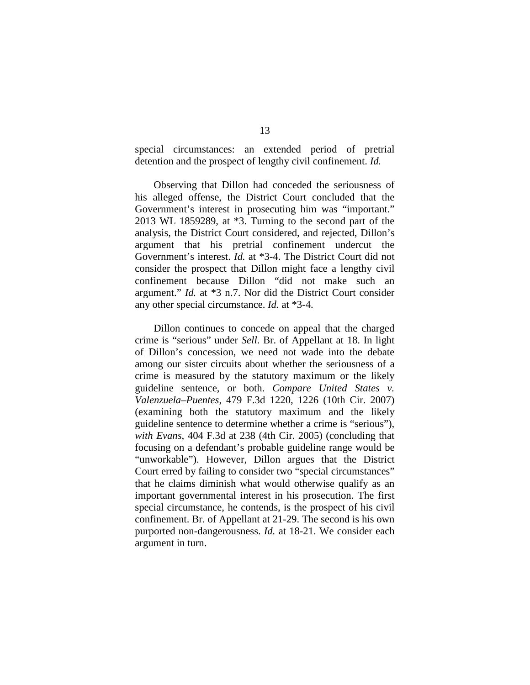special circumstances: an extended period of pretrial detention and the prospect of lengthy civil confinement. *Id.*

Observing that Dillon had conceded the seriousness of his alleged offense, the District Court concluded that the Government's interest in prosecuting him was "important." 2013 WL 1859289, at \*3. Turning to the second part of the analysis, the District Court considered, and rejected, Dillon's argument that his pretrial confinement undercut the Government's interest. *Id.* at \*3-4. The District Court did not consider the prospect that Dillon might face a lengthy civil confinement because Dillon "did not make such an argument." *Id.* at \*3 n.7. Nor did the District Court consider any other special circumstance. *Id.* at \*3-4.

Dillon continues to concede on appeal that the charged crime is "serious" under *Sell*. Br. of Appellant at 18. In light of Dillon's concession, we need not wade into the debate among our sister circuits about whether the seriousness of a crime is measured by the statutory maximum or the likely guideline sentence, or both. *Compare United States v. Valenzuela–Puentes*, 479 F.3d 1220, 1226 (10th Cir. 2007) (examining both the statutory maximum and the likely guideline sentence to determine whether a crime is "serious"), *with Evans*, 404 F.3d at 238 (4th Cir. 2005) (concluding that focusing on a defendant's probable guideline range would be "unworkable"). However, Dillon argues that the District Court erred by failing to consider two "special circumstances" that he claims diminish what would otherwise qualify as an important governmental interest in his prosecution. The first special circumstance, he contends, is the prospect of his civil confinement. Br. of Appellant at 21-29. The second is his own purported non-dangerousness. *Id.* at 18-21. We consider each argument in turn.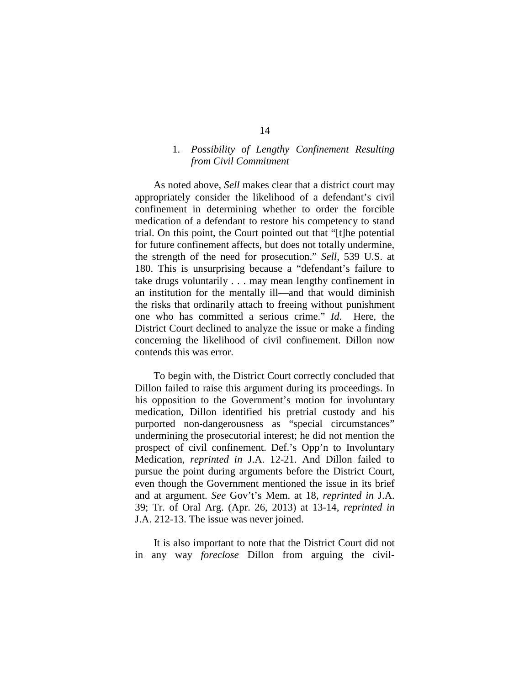## 1. *Possibility of Lengthy Confinement Resulting from Civil Commitment*

As noted above, *Sell* makes clear that a district court may appropriately consider the likelihood of a defendant's civil confinement in determining whether to order the forcible medication of a defendant to restore his competency to stand trial. On this point, the Court pointed out that "[t]he potential for future confinement affects, but does not totally undermine, the strength of the need for prosecution." *Sell*, 539 U.S. at 180. This is unsurprising because a "defendant's failure to take drugs voluntarily . . . may mean lengthy confinement in an institution for the mentally ill—and that would diminish the risks that ordinarily attach to freeing without punishment one who has committed a serious crime." *Id*. Here, the District Court declined to analyze the issue or make a finding concerning the likelihood of civil confinement. Dillon now contends this was error.

To begin with, the District Court correctly concluded that Dillon failed to raise this argument during its proceedings. In his opposition to the Government's motion for involuntary medication, Dillon identified his pretrial custody and his purported non-dangerousness as "special circumstances" undermining the prosecutorial interest; he did not mention the prospect of civil confinement. Def.'s Opp'n to Involuntary Medication, *reprinted in* J.A. 12-21. And Dillon failed to pursue the point during arguments before the District Court, even though the Government mentioned the issue in its brief and at argument. *See* Gov't's Mem. at 18, *reprinted in* J.A. 39; Tr. of Oral Arg. (Apr. 26, 2013) at 13-14, *reprinted in*  J.A. 212-13. The issue was never joined.

It is also important to note that the District Court did not in any way *foreclose* Dillon from arguing the civil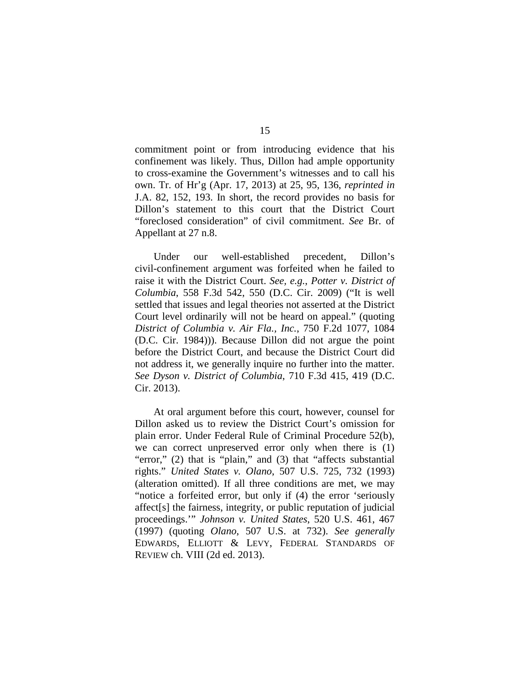commitment point or from introducing evidence that his confinement was likely. Thus, Dillon had ample opportunity to cross-examine the Government's witnesses and to call his own. Tr. of Hr'g (Apr. 17, 2013) at 25, 95, 136, *reprinted in*  J.A. 82, 152, 193. In short, the record provides no basis for Dillon's statement to this court that the District Court "foreclosed consideration" of civil commitment. *See* Br. of Appellant at 27 n.8.

Under our well-established precedent, Dillon's civil-confinement argument was forfeited when he failed to raise it with the District Court. *See, e.g.*, *Potter v. District of Columbia*, 558 F.3d 542, 550 (D.C. Cir. 2009) ("It is well settled that issues and legal theories not asserted at the District Court level ordinarily will not be heard on appeal." (quoting *District of Columbia v. Air Fla., Inc.*, 750 F.2d 1077, 1084 (D.C. Cir. 1984))). Because Dillon did not argue the point before the District Court, and because the District Court did not address it, we generally inquire no further into the matter. *See Dyson v. District of Columbia*, 710 F.3d 415, 419 (D.C. Cir. 2013).

At oral argument before this court, however, counsel for Dillon asked us to review the District Court's omission for plain error. Under Federal Rule of Criminal Procedure 52(b), we can correct unpreserved error only when there is (1) "error," (2) that is "plain," and (3) that "affects substantial rights." *United States v. Olano*, 507 U.S. 725, 732 (1993) (alteration omitted). If all three conditions are met, we may "notice a forfeited error, but only if (4) the error 'seriously affect[s] the fairness, integrity, or public reputation of judicial proceedings.'" *Johnson v. United States*, 520 U.S. 461, 467 (1997) (quoting *Olano*, 507 U.S. at 732). *See generally* EDWARDS, ELLIOTT & LEVY, FEDERAL STANDARDS OF REVIEW ch. VIII (2d ed. 2013).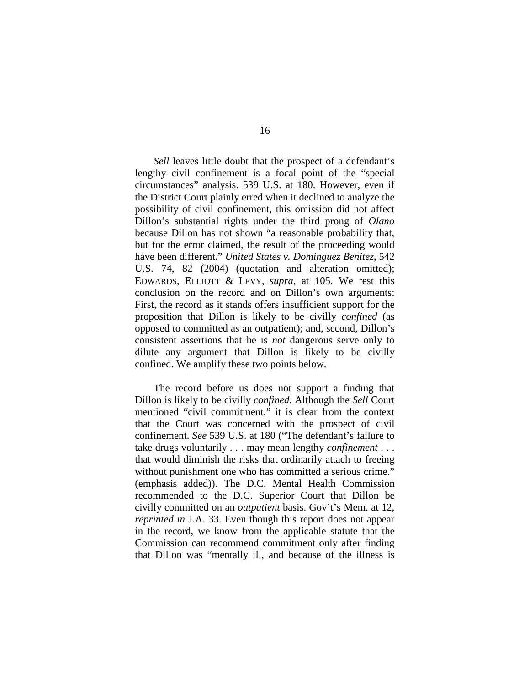*Sell* leaves little doubt that the prospect of a defendant's lengthy civil confinement is a focal point of the "special circumstances" analysis. 539 U.S. at 180. However, even if the District Court plainly erred when it declined to analyze the possibility of civil confinement, this omission did not affect Dillon's substantial rights under the third prong of *Olano*  because Dillon has not shown "a reasonable probability that, but for the error claimed, the result of the proceeding would have been different." *United States v. Dominguez Benitez*, 542 U.S. 74, 82 (2004) (quotation and alteration omitted); EDWARDS, ELLIOTT & LEVY, *supra*, at 105. We rest this conclusion on the record and on Dillon's own arguments: First, the record as it stands offers insufficient support for the proposition that Dillon is likely to be civilly *confined* (as opposed to committed as an outpatient); and, second, Dillon's consistent assertions that he is *not* dangerous serve only to dilute any argument that Dillon is likely to be civilly confined. We amplify these two points below.

The record before us does not support a finding that Dillon is likely to be civilly *confined*. Although the *Sell* Court mentioned "civil commitment," it is clear from the context that the Court was concerned with the prospect of civil confinement. *See* 539 U.S. at 180 ("The defendant's failure to take drugs voluntarily . . . may mean lengthy *confinement* . . . that would diminish the risks that ordinarily attach to freeing without punishment one who has committed a serious crime." (emphasis added)). The D.C. Mental Health Commission recommended to the D.C. Superior Court that Dillon be civilly committed on an *outpatient* basis. Gov't's Mem. at 12, *reprinted in* J.A. 33. Even though this report does not appear in the record, we know from the applicable statute that the Commission can recommend commitment only after finding that Dillon was "mentally ill, and because of the illness is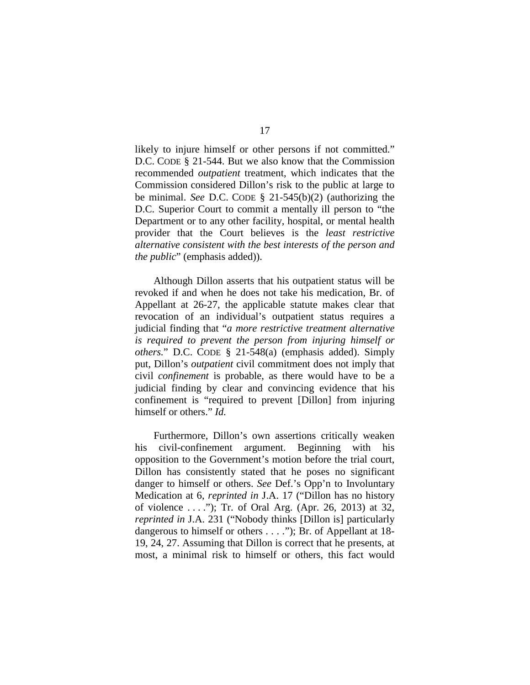likely to injure himself or other persons if not committed." D.C. CODE § 21-544. But we also know that the Commission recommended *outpatient* treatment, which indicates that the Commission considered Dillon's risk to the public at large to be minimal. *See* D.C. CODE § 21-545(b)(2) (authorizing the D.C. Superior Court to commit a mentally ill person to "the Department or to any other facility, hospital, or mental health provider that the Court believes is the *least restrictive alternative consistent with the best interests of the person and the public*" (emphasis added)).

Although Dillon asserts that his outpatient status will be revoked if and when he does not take his medication, Br. of Appellant at 26-27, the applicable statute makes clear that revocation of an individual's outpatient status requires a judicial finding that "*a more restrictive treatment alternative is required to prevent the person from injuring himself or others.*" D.C. CODE § 21-548(a) (emphasis added). Simply put, Dillon's *outpatient* civil commitment does not imply that civil *confinement* is probable, as there would have to be a judicial finding by clear and convincing evidence that his confinement is "required to prevent [Dillon] from injuring himself or others." *Id.*

Furthermore, Dillon's own assertions critically weaken his civil-confinement argument. Beginning with his opposition to the Government's motion before the trial court, Dillon has consistently stated that he poses no significant danger to himself or others. *See* Def.'s Opp'n to Involuntary Medication at 6, *reprinted in* J.A. 17 ("Dillon has no history of violence . . . ."); Tr. of Oral Arg. (Apr. 26, 2013) at 32, *reprinted in* J.A. 231 ("Nobody thinks [Dillon is] particularly dangerous to himself or others . . . ."); Br. of Appellant at 18- 19, 24, 27. Assuming that Dillon is correct that he presents, at most, a minimal risk to himself or others, this fact would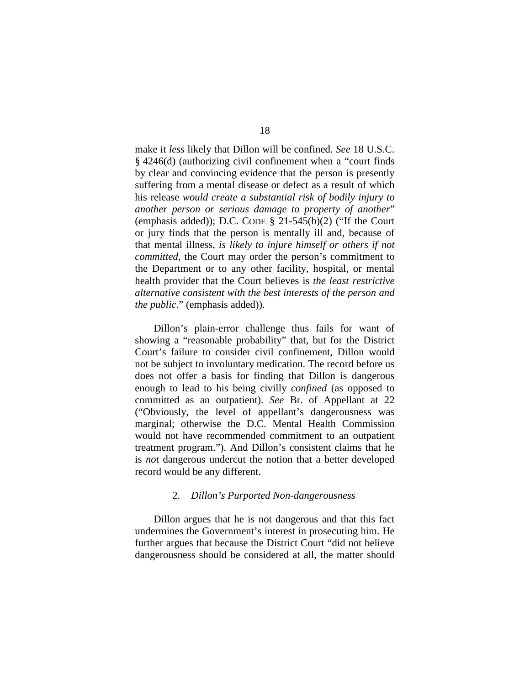make it *less* likely that Dillon will be confined. *See* 18 U.S.C. § 4246(d) (authorizing civil confinement when a "court finds by clear and convincing evidence that the person is presently suffering from a mental disease or defect as a result of which his release *would create a substantial risk of bodily injury to another person or serious damage to property of another*" (emphasis added)); D.C. CODE  $\S$  21-545(b)(2) ("If the Court or jury finds that the person is mentally ill and, because of that mental illness, *is likely to injure himself or others if not committed*, the Court may order the person's commitment to the Department or to any other facility, hospital, or mental health provider that the Court believes is *the least restrictive alternative consistent with the best interests of the person and the public*." (emphasis added)).

Dillon's plain-error challenge thus fails for want of showing a "reasonable probability" that, but for the District Court's failure to consider civil confinement, Dillon would not be subject to involuntary medication. The record before us does not offer a basis for finding that Dillon is dangerous enough to lead to his being civilly *confined* (as opposed to committed as an outpatient). *See* Br. of Appellant at 22 ("Obviously, the level of appellant's dangerousness was marginal; otherwise the D.C. Mental Health Commission would not have recommended commitment to an outpatient treatment program."). And Dillon's consistent claims that he is *not* dangerous undercut the notion that a better developed record would be any different.

#### 2. *Dillon's Purported Non-dangerousness*

Dillon argues that he is not dangerous and that this fact undermines the Government's interest in prosecuting him. He further argues that because the District Court "did not believe dangerousness should be considered at all, the matter should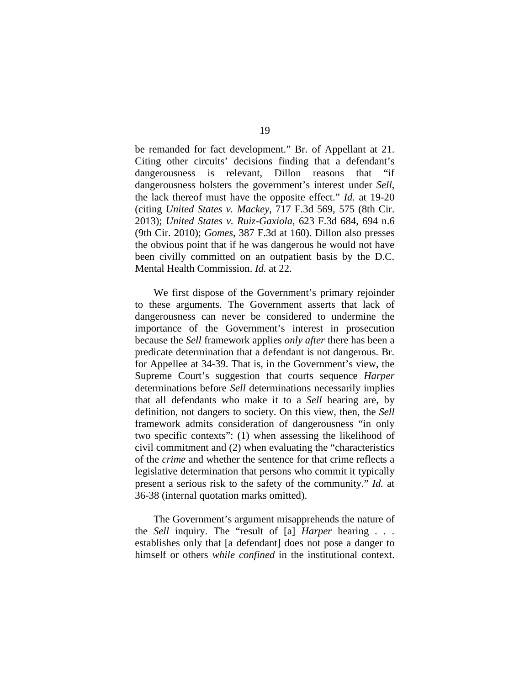be remanded for fact development." Br. of Appellant at 21. Citing other circuits' decisions finding that a defendant's dangerousness is relevant, Dillon reasons that "if dangerousness bolsters the government's interest under *Sell*, the lack thereof must have the opposite effect." *Id.* at 19-20 (citing *United States v. Mackey*, 717 F.3d 569, 575 (8th Cir. 2013); *United States v. Ruiz-Gaxiola*, 623 F.3d 684, 694 n.6 (9th Cir. 2010); *Gomes*, 387 F.3d at 160). Dillon also presses the obvious point that if he was dangerous he would not have been civilly committed on an outpatient basis by the D.C. Mental Health Commission. *Id.* at 22.

We first dispose of the Government's primary rejoinder to these arguments. The Government asserts that lack of dangerousness can never be considered to undermine the importance of the Government's interest in prosecution because the *Sell* framework applies *only after* there has been a predicate determination that a defendant is not dangerous. Br. for Appellee at 34-39. That is, in the Government's view, the Supreme Court's suggestion that courts sequence *Harper* determinations before *Sell* determinations necessarily implies that all defendants who make it to a *Sell* hearing are, by definition, not dangers to society. On this view, then, the *Sell*  framework admits consideration of dangerousness "in only two specific contexts": (1) when assessing the likelihood of civil commitment and (2) when evaluating the "characteristics of the *crime* and whether the sentence for that crime reflects a legislative determination that persons who commit it typically present a serious risk to the safety of the community." *Id.* at 36-38 (internal quotation marks omitted).

The Government's argument misapprehends the nature of the *Sell* inquiry. The "result of [a] *Harper* hearing . . . establishes only that [a defendant] does not pose a danger to himself or others *while confined* in the institutional context.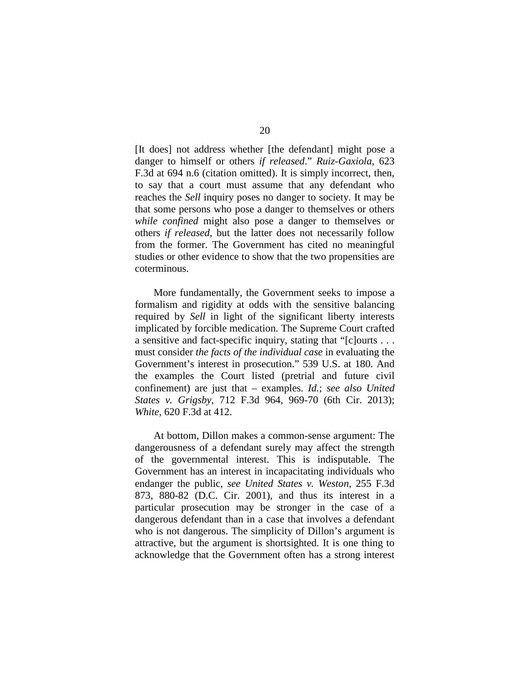[It does] not address whether [the defendant] might pose a danger to himself or others *if released*." *Ruiz-Gaxiola*, 623 F.3d at 694 n.6 (citation omitted). It is simply incorrect, then, to say that a court must assume that any defendant who reaches the *Sell* inquiry poses no danger to society. It may be that some persons who pose a danger to themselves or others *while confined* might also pose a danger to themselves or others *if released*, but the latter does not necessarily follow from the former. The Government has cited no meaningful studies or other evidence to show that the two propensities are coterminous.

More fundamentally, the Government seeks to impose a formalism and rigidity at odds with the sensitive balancing required by *Sell* in light of the significant liberty interests implicated by forcible medication. The Supreme Court crafted a sensitive and fact-specific inquiry, stating that "[c]ourts . . . must consider *the facts of the individual case* in evaluating the Government's interest in prosecution." 539 U.S. at 180. And the examples the Court listed (pretrial and future civil confinement) are just that – examples. *Id.*; *see also United States v. Grigsby*, 712 F.3d 964, 969-70 (6th Cir. 2013); *White*, 620 F.3d at 412.

At bottom, Dillon makes a common-sense argument: The dangerousness of a defendant surely may affect the strength of the governmental interest. This is indisputable. The Government has an interest in incapacitating individuals who endanger the public, *see United States v. Weston*, 255 F.3d 873, 880-82 (D.C. Cir. 2001), and thus its interest in a particular prosecution may be stronger in the case of a dangerous defendant than in a case that involves a defendant who is not dangerous. The simplicity of Dillon's argument is attractive, but the argument is shortsighted. It is one thing to acknowledge that the Government often has a strong interest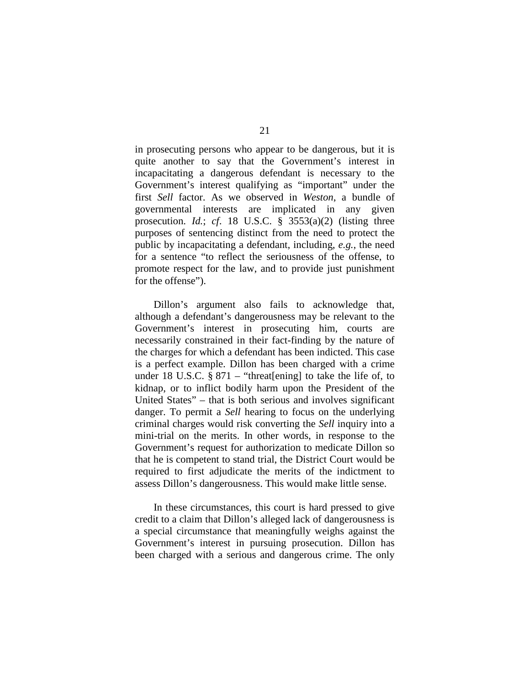in prosecuting persons who appear to be dangerous, but it is quite another to say that the Government's interest in incapacitating a dangerous defendant is necessary to the Government's interest qualifying as "important" under the first *Sell* factor. As we observed in *Weston*, a bundle of governmental interests are implicated in any given prosecution. *Id.*; *cf*. 18 U.S.C. § 3553(a)(2) (listing three purposes of sentencing distinct from the need to protect the public by incapacitating a defendant, including, *e.g.*, the need for a sentence "to reflect the seriousness of the offense, to promote respect for the law, and to provide just punishment for the offense").

Dillon's argument also fails to acknowledge that, although a defendant's dangerousness may be relevant to the Government's interest in prosecuting him, courts are necessarily constrained in their fact-finding by the nature of the charges for which a defendant has been indicted. This case is a perfect example. Dillon has been charged with a crime under 18 U.S.C.  $\S 871 - "thread[ening]$  to take the life of, to kidnap, or to inflict bodily harm upon the President of the United States" – that is both serious and involves significant danger. To permit a *Sell* hearing to focus on the underlying criminal charges would risk converting the *Sell* inquiry into a mini-trial on the merits. In other words, in response to the Government's request for authorization to medicate Dillon so that he is competent to stand trial, the District Court would be required to first adjudicate the merits of the indictment to assess Dillon's dangerousness. This would make little sense.

In these circumstances, this court is hard pressed to give credit to a claim that Dillon's alleged lack of dangerousness is a special circumstance that meaningfully weighs against the Government's interest in pursuing prosecution. Dillon has been charged with a serious and dangerous crime. The only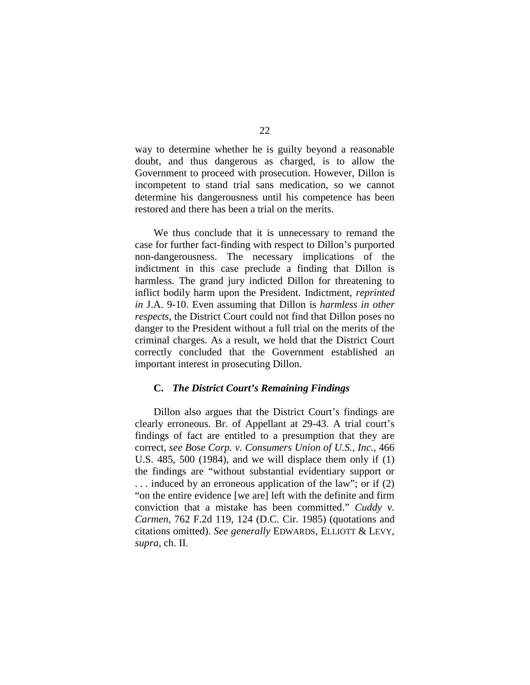way to determine whether he is guilty beyond a reasonable doubt, and thus dangerous as charged, is to allow the Government to proceed with prosecution. However, Dillon is incompetent to stand trial sans medication, so we cannot determine his dangerousness until his competence has been restored and there has been a trial on the merits.

We thus conclude that it is unnecessary to remand the case for further fact-finding with respect to Dillon's purported non-dangerousness. The necessary implications of the indictment in this case preclude a finding that Dillon is harmless. The grand jury indicted Dillon for threatening to inflict bodily harm upon the President. Indictment, *reprinted in* J.A. 9-10. Even assuming that Dillon is *harmless in other respects*, the District Court could not find that Dillon poses no danger to the President without a full trial on the merits of the criminal charges. As a result, we hold that the District Court correctly concluded that the Government established an important interest in prosecuting Dillon.

#### **C.** *The District Court's Remaining Findings*

Dillon also argues that the District Court's findings are clearly erroneous. Br. of Appellant at 29-43. A trial court's findings of fact are entitled to a presumption that they are correct, *see Bose Corp. v. Consumers Union of U.S., Inc.*, 466 U.S. 485, 500 (1984), and we will displace them only if (1) the findings are "without substantial evidentiary support or . . . induced by an erroneous application of the law"; or if (2) "on the entire evidence [we are] left with the definite and firm conviction that a mistake has been committed." *Cuddy v. Carmen*, 762 F.2d 119, 124 (D.C. Cir. 1985) (quotations and citations omitted). *See generally* EDWARDS, ELLIOTT & LEVY, *supra*, ch. II.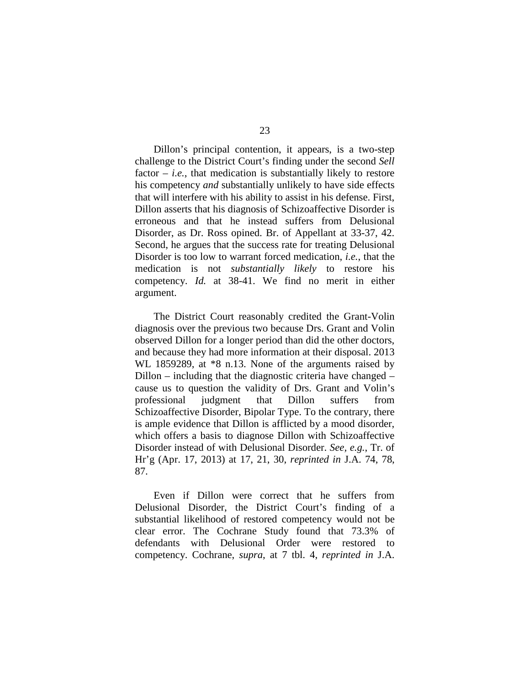Dillon's principal contention, it appears, is a two-step challenge to the District Court's finding under the second *Sell* factor  $-$  *i.e.*, that medication is substantially likely to restore his competency *and* substantially unlikely to have side effects that will interfere with his ability to assist in his defense. First, Dillon asserts that his diagnosis of Schizoaffective Disorder is erroneous and that he instead suffers from Delusional Disorder, as Dr. Ross opined. Br. of Appellant at 33-37, 42. Second, he argues that the success rate for treating Delusional Disorder is too low to warrant forced medication, *i.e.*, that the medication is not *substantially likely* to restore his competency. *Id.* at 38-41. We find no merit in either argument.

The District Court reasonably credited the Grant-Volin diagnosis over the previous two because Drs. Grant and Volin observed Dillon for a longer period than did the other doctors, and because they had more information at their disposal. 2013 WL 1859289, at \*8 n.13. None of the arguments raised by Dillon – including that the diagnostic criteria have changed – cause us to question the validity of Drs. Grant and Volin's professional judgment that Dillon suffers from Schizoaffective Disorder, Bipolar Type. To the contrary, there is ample evidence that Dillon is afflicted by a mood disorder, which offers a basis to diagnose Dillon with Schizoaffective Disorder instead of with Delusional Disorder. *See, e.g.*, Tr. of Hr'g (Apr. 17, 2013) at 17, 21, 30, *reprinted in* J.A. 74, 78, 87.

Even if Dillon were correct that he suffers from Delusional Disorder, the District Court's finding of a substantial likelihood of restored competency would not be clear error. The Cochrane Study found that 73.3% of defendants with Delusional Order were restored to competency. Cochrane, *supra*, at 7 tbl. 4, *reprinted in* J.A.